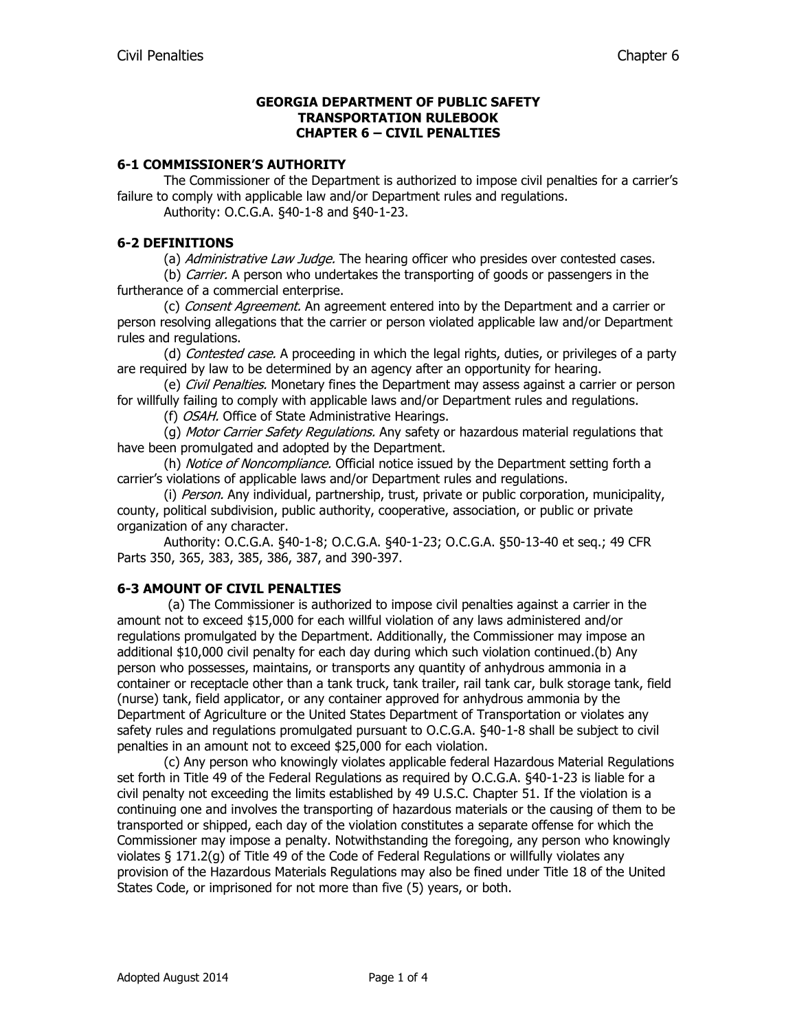#### **GEORGIA DEPARTMENT OF PUBLIC SAFETY TRANSPORTATION RULEBOOK CHAPTER 6 – CIVIL PENALTIES**

#### **6-1 COMMISSIONER'S AUTHORITY**

The Commissioner of the Department is authorized to impose civil penalties for a carrier's failure to comply with applicable law and/or Department rules and regulations.

Authority: O.C.G.A. §40-1-8 and §40-1-23.

### **6-2 DEFINITIONS**

(a) Administrative Law Judge. The hearing officer who presides over contested cases.

(b) *Carrier*. A person who undertakes the transporting of goods or passengers in the furtherance of a commercial enterprise.

(c) Consent Agreement. An agreement entered into by the Department and a carrier or person resolving allegations that the carrier or person violated applicable law and/or Department rules and regulations.

(d) *Contested case.* A proceeding in which the legal rights, duties, or privileges of a party are required by law to be determined by an agency after an opportunity for hearing.

(e) *Civil Penalties.* Monetary fines the Department may assess against a carrier or person for willfully failing to comply with applicable laws and/or Department rules and regulations.

(f) OSAH. Office of State Administrative Hearings.

(g) Motor Carrier Safety Regulations. Any safety or hazardous material regulations that have been promulgated and adopted by the Department.

(h) Notice of Noncompliance. Official notice issued by the Department setting forth a carrier's violations of applicable laws and/or Department rules and regulations.

(i) Person. Any individual, partnership, trust, private or public corporation, municipality, county, political subdivision, public authority, cooperative, association, or public or private organization of any character.

Authority: O.C.G.A. §40-1-8; O.C.G.A. §40-1-23; O.C.G.A. §50-13-40 et seq.; 49 CFR Parts 350, 365, 383, 385, 386, 387, and 390-397.

### **6-3 AMOUNT OF CIVIL PENALTIES**

(a) The Commissioner is authorized to impose civil penalties against a carrier in the amount not to exceed \$15,000 for each willful violation of any laws administered and/or regulations promulgated by the Department. Additionally, the Commissioner may impose an additional \$10,000 civil penalty for each day during which such violation continued.(b) Any person who possesses, maintains, or transports any quantity of anhydrous ammonia in a container or receptacle other than a tank truck, tank trailer, rail tank car, bulk storage tank, field (nurse) tank, field applicator, or any container approved for anhydrous ammonia by the Department of Agriculture or the United States Department of Transportation or violates any safety rules and regulations promulgated pursuant to O.C.G.A. §40-1-8 shall be subject to civil penalties in an amount not to exceed \$25,000 for each violation.

(c) Any person who knowingly violates applicable federal Hazardous Material Regulations set forth in Title 49 of the Federal Regulations as required by O.C.G.A. §40-1-23 is liable for a civil penalty not exceeding the limits established by 49 U.S.C. Chapter 51. If the violation is a continuing one and involves the transporting of hazardous materials or the causing of them to be transported or shipped, each day of the violation constitutes a separate offense for which the Commissioner may impose a penalty. Notwithstanding the foregoing, any person who knowingly violates § 171.2(g) of Title 49 of the Code of Federal Regulations or willfully violates any provision of the Hazardous Materials Regulations may also be fined under Title 18 of the United States Code, or imprisoned for not more than five (5) years, or both.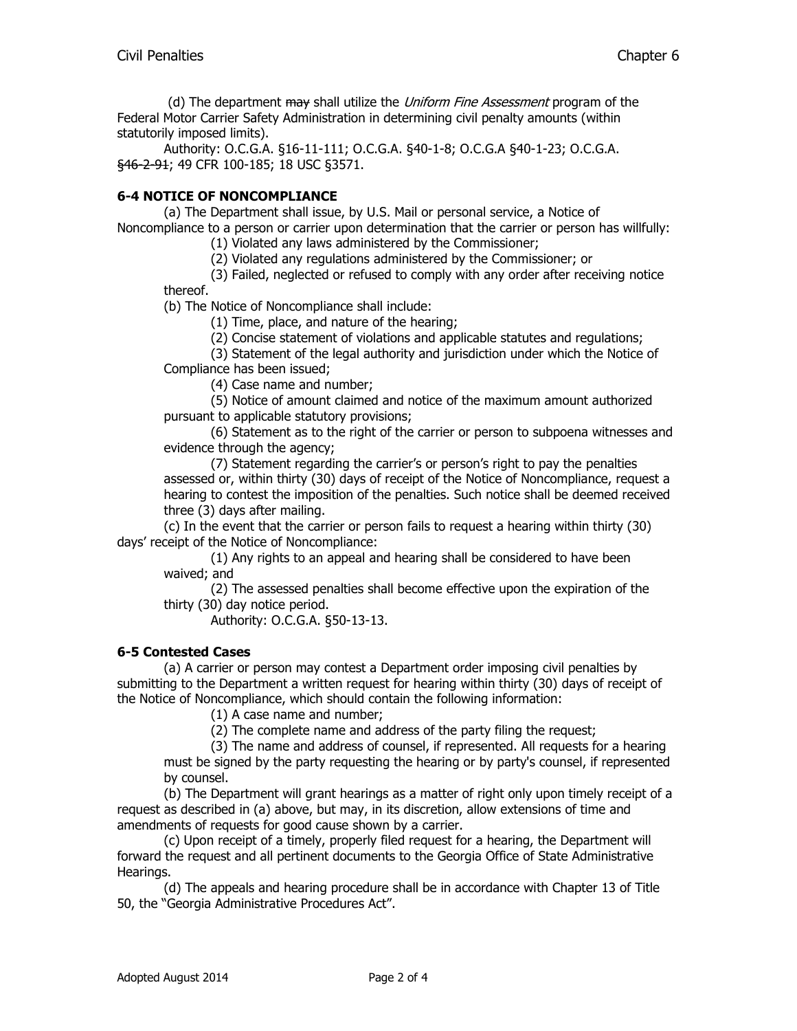(d) The department may shall utilize the *Uniform Fine Assessment* program of the Federal Motor Carrier Safety Administration in determining civil penalty amounts (within statutorily imposed limits).

Authority: O.C.G.A. §16-11-111; O.C.G.A. §40-1-8; O.C.G.A §40-1-23; O.C.G.A. §46-2-91; 49 CFR 100-185; 18 USC §3571.

# **6-4 NOTICE OF NONCOMPLIANCE**

(a) The Department shall issue, by U.S. Mail or personal service, a Notice of Noncompliance to a person or carrier upon determination that the carrier or person has willfully:

(1) Violated any laws administered by the Commissioner;

(2) Violated any regulations administered by the Commissioner; or

(3) Failed, neglected or refused to comply with any order after receiving notice thereof.

(b) The Notice of Noncompliance shall include:

(1) Time, place, and nature of the hearing;

(2) Concise statement of violations and applicable statutes and regulations;

(3) Statement of the legal authority and jurisdiction under which the Notice of

Compliance has been issued;

(4) Case name and number;

(5) Notice of amount claimed and notice of the maximum amount authorized pursuant to applicable statutory provisions;

(6) Statement as to the right of the carrier or person to subpoena witnesses and evidence through the agency;

(7) Statement regarding the carrier's or person's right to pay the penalties assessed or, within thirty (30) days of receipt of the Notice of Noncompliance, request a hearing to contest the imposition of the penalties. Such notice shall be deemed received three (3) days after mailing.

(c) In the event that the carrier or person fails to request a hearing within thirty (30) days' receipt of the Notice of Noncompliance:

(1) Any rights to an appeal and hearing shall be considered to have been waived; and

(2) The assessed penalties shall become effective upon the expiration of the thirty (30) day notice period.

Authority: O.C.G.A. §50-13-13.

### **6-5 Contested Cases**

(a) A carrier or person may contest a Department order imposing civil penalties by submitting to the Department a written request for hearing within thirty (30) days of receipt of the Notice of Noncompliance, which should contain the following information:

(1) A case name and number;

(2) The complete name and address of the party filing the request;

(3) The name and address of counsel, if represented. All requests for a hearing must be signed by the party requesting the hearing or by party's counsel, if represented by counsel.

(b) The Department will grant hearings as a matter of right only upon timely receipt of a request as described in (a) above, but may, in its discretion, allow extensions of time and amendments of requests for good cause shown by a carrier.

(c) Upon receipt of a timely, properly filed request for a hearing, the Department will forward the request and all pertinent documents to the Georgia Office of State Administrative Hearings.

(d) The appeals and hearing procedure shall be in accordance with Chapter 13 of Title 50, the "Georgia Administrative Procedures Act".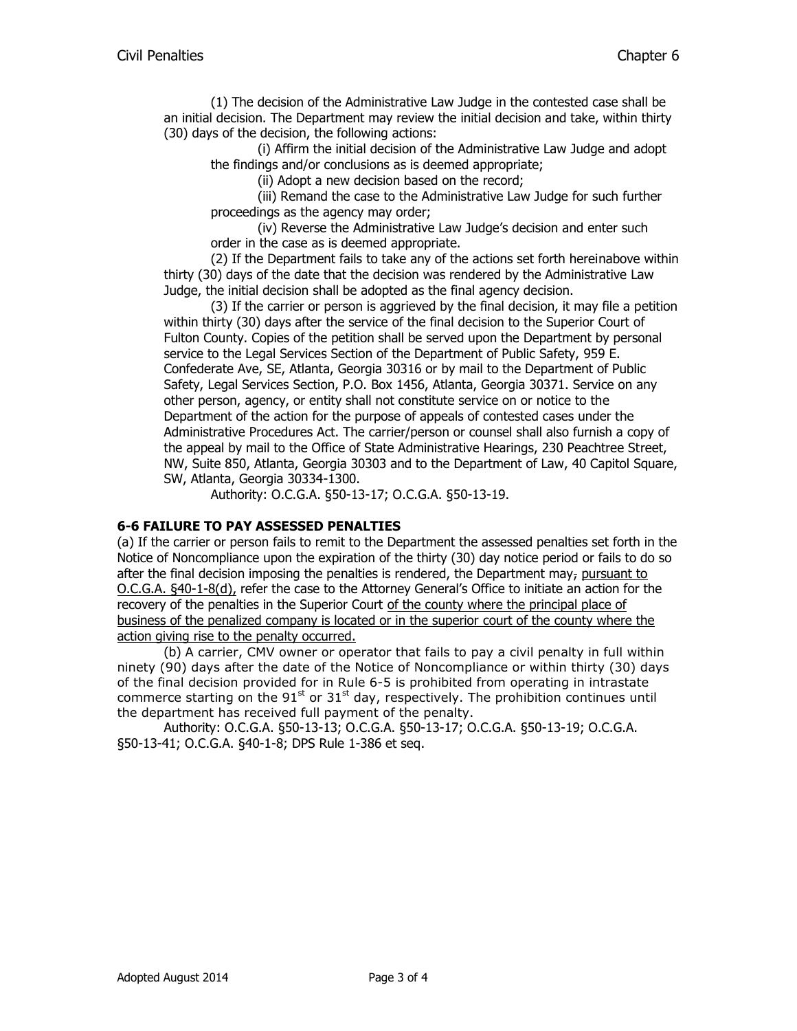(1) The decision of the Administrative Law Judge in the contested case shall be an initial decision. The Department may review the initial decision and take, within thirty (30) days of the decision, the following actions:

(i) Affirm the initial decision of the Administrative Law Judge and adopt the findings and/or conclusions as is deemed appropriate;

(ii) Adopt a new decision based on the record;

(iii) Remand the case to the Administrative Law Judge for such further proceedings as the agency may order;

(iv) Reverse the Administrative Law Judge's decision and enter such order in the case as is deemed appropriate.

(2) If the Department fails to take any of the actions set forth hereinabove within thirty (30) days of the date that the decision was rendered by the Administrative Law Judge, the initial decision shall be adopted as the final agency decision.

(3) If the carrier or person is aggrieved by the final decision, it may file a petition within thirty (30) days after the service of the final decision to the Superior Court of Fulton County. Copies of the petition shall be served upon the Department by personal service to the Legal Services Section of the Department of Public Safety, 959 E. Confederate Ave, SE, Atlanta, Georgia 30316 or by mail to the Department of Public Safety, Legal Services Section, P.O. Box 1456, Atlanta, Georgia 30371. Service on any other person, agency, or entity shall not constitute service on or notice to the Department of the action for the purpose of appeals of contested cases under the Administrative Procedures Act. The carrier/person or counsel shall also furnish a copy of the appeal by mail to the Office of State Administrative Hearings, 230 Peachtree Street, NW, Suite 850, Atlanta, Georgia 30303 and to the Department of Law, 40 Capitol Square, SW, Atlanta, Georgia 30334-1300.

Authority: O.C.G.A. §50-13-17; O.C.G.A. §50-13-19.

### **6-6 FAILURE TO PAY ASSESSED PENALTIES**

(a) If the carrier or person fails to remit to the Department the assessed penalties set forth in the Notice of Noncompliance upon the expiration of the thirty (30) day notice period or fails to do so after the final decision imposing the penalties is rendered, the Department may, pursuant to O.C.G.A. §40-1-8(d), refer the case to the Attorney General's Office to initiate an action for the recovery of the penalties in the Superior Court of the county where the principal place of business of the penalized company is located or in the superior court of the county where the action giving rise to the penalty occurred.

(b) A carrier, CMV owner or operator that fails to pay a civil penalty in full within ninety (90) days after the date of the Notice of Noncompliance or within thirty (30) days of the final decision provided for in Rule 6-5 is prohibited from operating in intrastate commerce starting on the 91 $^{\text{st}}$  or 31 $^{\text{st}}$  day, respectively. The prohibition continues until the department has received full payment of the penalty.

Authority: O.C.G.A. §50-13-13; O.C.G.A. §50-13-17; O.C.G.A. §50-13-19; O.C.G.A. §50-13-41; O.C.G.A. §40-1-8; DPS Rule 1-386 et seq.